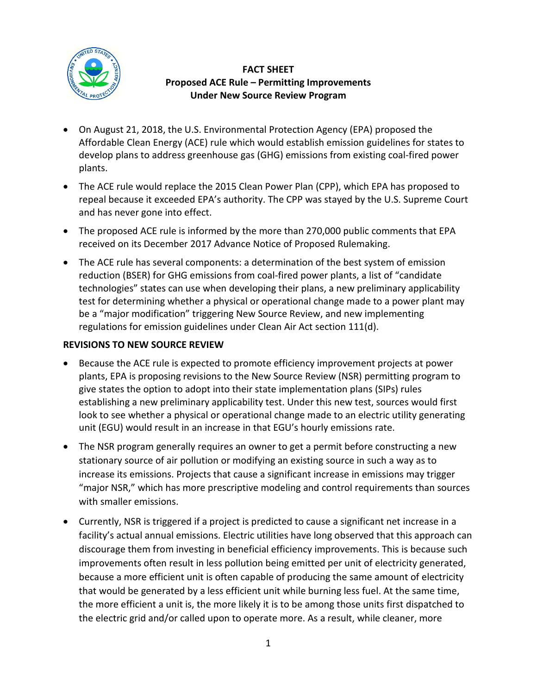

## **FACT SHEET Proposed ACE Rule – Permitting Improvements Under New Source Review Program**

- On August 21, 2018, the U.S. Environmental Protection Agency (EPA) proposed the Affordable Clean Energy (ACE) rule which would establish emission guidelines for states to develop plans to address greenhouse gas (GHG) emissions from existing coal-fired power plants.
- The ACE rule would replace the 2015 Clean Power Plan (CPP), which EPA has proposed to repeal because it exceeded EPA's authority. The CPP was stayed by the U.S. Supreme Court and has never gone into effect.
- The proposed ACE rule is informed by the more than 270,000 public comments that EPA received on its December 2017 Advance Notice of Proposed Rulemaking.
- The ACE rule has several components: a determination of the best system of emission reduction (BSER) for GHG emissions from coal-fired power plants, a list of "candidate technologies" states can use when developing their plans, a new preliminary applicability test for determining whether a physical or operational change made to a power plant may be a "major modification" triggering New Source Review, and new implementing regulations for emission guidelines under Clean Air Act section 111(d).

## **REVISIONS TO NEW SOURCE REVIEW**

- Because the ACE rule is expected to promote efficiency improvement projects at power plants, EPA is proposing revisions to the New Source Review (NSR) permitting program to give states the option to adopt into their state implementation plans (SIPs) rules establishing a new preliminary applicability test. Under this new test, sources would first look to see whether a physical or operational change made to an electric utility generating unit (EGU) would result in an increase in that EGU's hourly emissions rate.
- The NSR program generally requires an owner to get a permit before constructing a new stationary source of air pollution or modifying an existing source in such a way as to increase its emissions. Projects that cause a significant increase in emissions may trigger "major NSR," which has more prescriptive modeling and control requirements than sources with smaller emissions.
- Currently, NSR is triggered if a project is predicted to cause a significant net increase in a facility's actual annual emissions. Electric utilities have long observed that this approach can discourage them from investing in beneficial efficiency improvements. This is because such improvements often result in less pollution being emitted per unit of electricity generated, because a more efficient unit is often capable of producing the same amount of electricity that would be generated by a less efficient unit while burning less fuel. At the same time, the more efficient a unit is, the more likely it is to be among those units first dispatched to the electric grid and/or called upon to operate more. As a result, while cleaner, more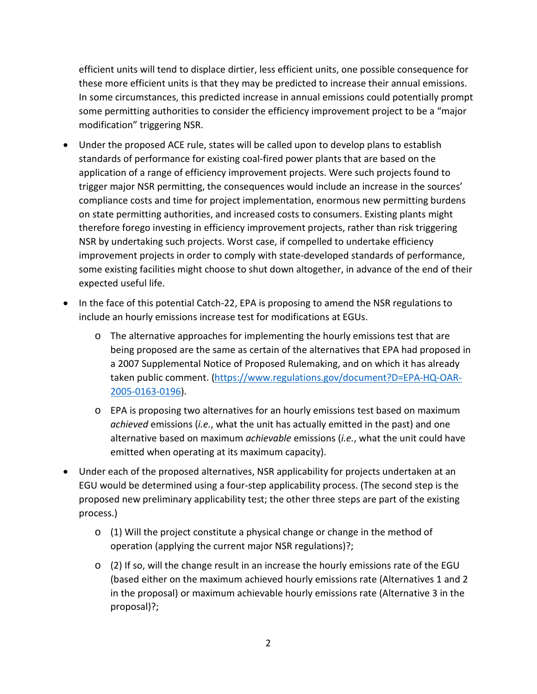efficient units will tend to displace dirtier, less efficient units, one possible consequence for these more efficient units is that they may be predicted to increase their annual emissions. In some circumstances, this predicted increase in annual emissions could potentially prompt some permitting authorities to consider the efficiency improvement project to be a "major modification" triggering NSR.

- Under the proposed ACE rule, states will be called upon to develop plans to establish standards of performance for existing coal-fired power plants that are based on the application of a range of efficiency improvement projects. Were such projects found to trigger major NSR permitting, the consequences would include an increase in the sources' compliance costs and time for project implementation, enormous new permitting burdens on state permitting authorities, and increased costs to consumers. Existing plants might therefore forego investing in efficiency improvement projects, rather than risk triggering NSR by undertaking such projects. Worst case, if compelled to undertake efficiency improvement projects in order to comply with state-developed standards of performance, some existing facilities might choose to shut down altogether, in advance of the end of their expected useful life.
- In the face of this potential Catch-22, EPA is proposing to amend the NSR regulations to include an hourly emissions increase test for modifications at EGUs.
	- o The alternative approaches for implementing the hourly emissions test that are being proposed are the same as certain of the alternatives that EPA had proposed in a 2007 Supplemental Notice of Proposed Rulemaking, and on which it has already taken public comment. [\(https://www.regulations.gov/document?D=EPA-HQ-OAR-](https://www.regulations.gov/document?D=EPA-HQ-OAR-2005-0163-0196)[2005-0163-0196\)](https://www.regulations.gov/document?D=EPA-HQ-OAR-2005-0163-0196).
	- o EPA is proposing two alternatives for an hourly emissions test based on maximum *achieved* emissions (*i.e.*, what the unit has actually emitted in the past) and one alternative based on maximum *achievable* emissions (*i.e.*, what the unit could have emitted when operating at its maximum capacity).
- Under each of the proposed alternatives, NSR applicability for projects undertaken at an EGU would be determined using a four-step applicability process. (The second step is the proposed new preliminary applicability test; the other three steps are part of the existing process.)
	- o (1) Will the project constitute a physical change or change in the method of operation (applying the current major NSR regulations)?;
	- $\circ$  (2) If so, will the change result in an increase the hourly emissions rate of the EGU (based either on the maximum achieved hourly emissions rate (Alternatives 1 and 2 in the proposal) or maximum achievable hourly emissions rate (Alternative 3 in the proposal)?;